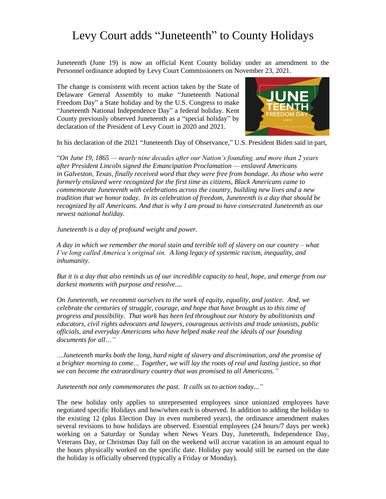## Levy Court adds "Juneteenth" to County Holidays

Juneteenth (June 19) is now an official Kent County holiday under an amendment to the Personnel ordinance adopted by Levy Court Commissioners on November 23, 2021.

The change is consistent with recent action taken by the State of Delaware General Assembly to make "Juneteenth National Freedom Day" a State holiday and by the U.S. Congress to make "Juneteenth National Independence Day" a federal holiday. Kent County previously observed Juneteenth as a "special holiday" by declaration of the President of Levy Court in 2020 and 2021.



In his declaration of the 2021 "Juneteenth Day of Observance," U.S. President Biden said in part,

"*On June 19, 1865 — nearly nine decades after our Nation's founding, and more than 2 years after President Lincoln signed the Emancipation Proclamation — enslaved Americans in Galveston, Texas, finally received word that they were free from bondage. As those who were formerly enslaved were recognized for the first time as citizens, Black Americans came to commemorate Juneteenth with celebrations across the country, building new lives and a new tradition that we honor today. In its celebration of freedom, Juneteenth is a day that should be recognized by all Americans. And that is why I am proud to have consecrated Juneteenth as our newest national holiday.*

*Juneteenth is a day of profound weight and power.*

*A day in which we remember the moral stain and terrible toll of slavery on our country – what I've long called America's original sin. A long legacy of systemic racism, inequality, and inhumanity.*

*But it is a day that also reminds us of our incredible capacity to heal, hope, and emerge from our darkest moments with purpose and resolve....*

*On Juneteenth, we recommit ourselves to the work of equity, equality, and justice. And, we celebrate the centuries of struggle, courage, and hope that have brought us to this time of progress and possibility. That work has been led throughout our history by abolitionists and educators, civil rights advocates and lawyers, courageous activists and trade unionists, public officials, and everyday Americans who have helped make real the ideals of our founding documents for all…"*

*…Juneteenth marks both the long, hard night of slavery and discrimination, and the promise of a brighter morning to come… Together, we will lay the roots of real and lasting justice, so that we can become the extraordinary country that was promised to all Americans."*

*Juneteenth not only commemorates the past. It calls us to action today..."*

The new holiday only applies to unrepresented employees since unionized employees have negotiated specific Holidays and how/when each is observed. In addition to adding the holiday to the existing 12 (plus Election Day in even numbered years), the ordinance amendment makes several revisions to how holidays are observed. Essential employees (24 hours/7 days per week) working on a Saturday or Sunday when News Years Day, Juneteenth, Independence Day, Veterans Day, or Christmas Day fall on the weekend will accrue vacation in an amount equal to the hours physically worked on the specific date. Holiday pay would still be earned on the date the holiday is officially observed (typically a Friday or Monday).